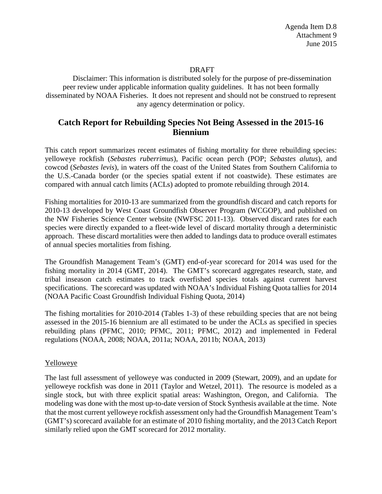### DRAFT

Disclaimer: This information is distributed solely for the purpose of pre-dissemination peer review under applicable information quality guidelines. It has not been formally disseminated by NOAA Fisheries. It does not represent and should not be construed to represent any agency determination or policy.

# **Catch Report for Rebuilding Species Not Being Assessed in the 2015-16 Biennium**

This catch report summarizes recent estimates of fishing mortality for three rebuilding species: yelloweye rockfish (*Sebastes ruberrimus*), Pacific ocean perch (POP; *Sebastes alutus*), and cowcod (*Sebastes levis*), in waters off the coast of the United States from Southern California to the U.S.-Canada border (or the species spatial extent if not coastwide). These estimates are compared with annual catch limits (ACLs) adopted to promote rebuilding through 2014.

Fishing mortalities for 2010-13 are summarized from the groundfish discard and catch reports for 2010-13 developed by West Coast Groundfish Observer Program (WCGOP), and published on the NW Fisheries Science Center website (NWFSC 2011-13). Observed discard rates for each species were directly expanded to a fleet-wide level of discard mortality through a deterministic approach. These discard mortalities were then added to landings data to produce overall estimates of annual species mortalities from fishing.

The Groundfish Management Team's (GMT) end-of-year scorecard for 2014 was used for the fishing mortality in 2014 (GMT, 2014). The GMT's scorecard aggregates research, state, and tribal inseason catch estimates to track overfished species totals against current harvest specifications. The scorecard was updated with NOAA's Individual Fishing Quota tallies for 2014 (NOAA Pacific Coast Groundfish Individual Fishing Quota, 2014)

The fishing mortalities for 2010-2014 (Tables 1-3) of these rebuilding species that are not being assessed in the 2015-16 biennium are all estimated to be under the ACLs as specified in species rebuilding plans (PFMC, 2010; PFMC, 2011; PFMC, 2012) and implemented in Federal regulations (NOAA, 2008; NOAA, 2011a; NOAA, 2011b; NOAA, 2013)

### Yelloweye

The last full assessment of yelloweye was conducted in 2009 (Stewart, 2009), and an update for yelloweye rockfish was done in 2011 (Taylor and Wetzel, 2011). The resource is modeled as a single stock, but with three explicit spatial areas: Washington, Oregon, and California. The modeling was done with the most up-to-date version of Stock Synthesis available at the time. Note that the most current yelloweye rockfish assessment only had the Groundfish Management Team's (GMT's) scorecard available for an estimate of 2010 fishing mortality, and the 2013 Catch Report similarly relied upon the GMT scorecard for 2012 mortality.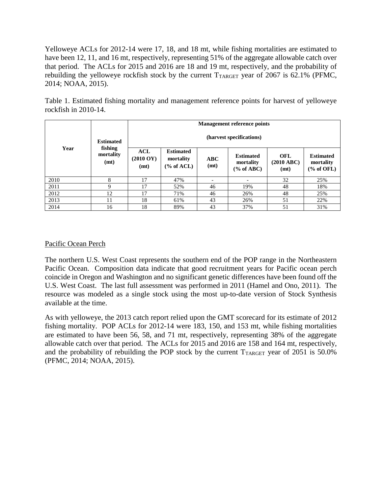Yelloweye ACLs for 2012-14 were 17, 18, and 18 mt, while fishing mortalities are estimated to have been 12, 11, and 16 mt, respectively, representing 51% of the aggregate allowable catch over that period. The ACLs for 2015 and 2016 are 18 and 19 mt, respectively, and the probability of rebuilding the yelloweye rockfish stock by the current  $T_{TARGE}$  year of 2067 is 62.1% (PFMC, 2014; NOAA, 2015).

| Year | <b>Estimated</b><br>fishing<br>mortality<br>(mt) | <b>Management reference points</b><br>(harvest specifications) |     |    |     |                          |                          |    |
|------|--------------------------------------------------|----------------------------------------------------------------|-----|----|-----|--------------------------|--------------------------|----|
|      |                                                  |                                                                |     |    |     |                          |                          |    |
|      |                                                  | 2010                                                           | 8   | 17 | 47% | $\overline{\phantom{0}}$ | $\overline{\phantom{0}}$ | 32 |
| 2011 | 9                                                | 17                                                             | 52% | 46 | 19% | 48                       | 18%                      |    |
| 2012 | 12                                               | 17                                                             | 71% | 46 | 26% | 48                       | 25%                      |    |
| 2013 | 11                                               | 18                                                             | 61% | 43 | 26% | 51                       | 22%                      |    |
| 2014 | 16                                               | 18                                                             | 89% | 43 | 37% | 51                       | 31%                      |    |

Table 1. Estimated fishing mortality and management reference points for harvest of yelloweye rockfish in 2010-14.

## Pacific Ocean Perch

The northern U.S. West Coast represents the southern end of the POP range in the Northeastern Pacific Ocean. Composition data indicate that good recruitment years for Pacific ocean perch coincide in Oregon and Washington and no significant genetic differences have been found off the U.S. West Coast. The last full assessment was performed in 2011 (Hamel and Ono, 2011). The resource was modeled as a single stock using the most up-to-date version of Stock Synthesis available at the time.

As with yelloweye, the 2013 catch report relied upon the GMT scorecard for its estimate of 2012 fishing mortality. POP ACLs for 2012-14 were 183, 150, and 153 mt, while fishing mortalities are estimated to have been 56, 58, and 71 mt, respectively, representing 38% of the aggregate allowable catch over that period. The ACLs for 2015 and 2016 are 158 and 164 mt, respectively, and the probability of rebuilding the POP stock by the current  $T_{TARGE}$  year of 2051 is 50.0% (PFMC, 2014; NOAA, 2015).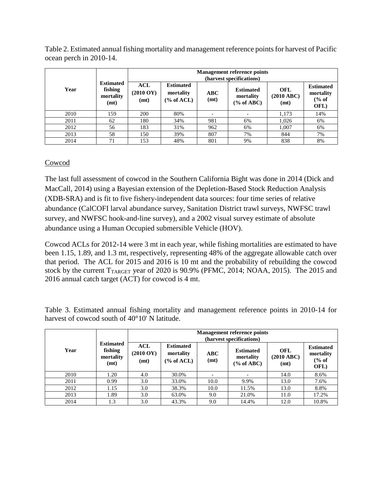Table 2. Estimated annual fishing mortality and management reference points for harvest of Pacific ocean perch in 2010-14.

|      | <b>Estimated</b><br>fishing<br>mortality<br>(mt) | <b>Management reference points</b><br>(harvest specifications) |                                           |             |                                           |                                     |                                                           |
|------|--------------------------------------------------|----------------------------------------------------------------|-------------------------------------------|-------------|-------------------------------------------|-------------------------------------|-----------------------------------------------------------|
| Year |                                                  | ACL<br>$(2010 \text{ OY})$<br>(mt)                             | <b>Estimated</b><br>mortality<br>% of ACL | ABC<br>(mt) | <b>Estimated</b><br>mortality<br>% of ABC | OFL<br>$(2010 \text{ ABC})$<br>(mt) | <b>Estimated</b><br>mortality<br>$\frac{6}{6}$ of<br>OFL) |
| 2010 | 159                                              | 200                                                            | 80%                                       |             |                                           | 1,173                               | 14%                                                       |
| 2011 | 62                                               | 180                                                            | 34%                                       | 981         | 6%                                        | 1,026                               | 6%                                                        |
| 2012 | 56                                               | 183                                                            | 31%                                       | 962         | 6%                                        | 1,007                               | 6%                                                        |
| 2013 | 58                                               | 150                                                            | 39%                                       | 807         | 7%                                        | 844                                 | 7%                                                        |
| 2014 | 71                                               | 153                                                            | 48%                                       | 801         | 9%                                        | 838                                 | 8%                                                        |

## Cowcod

The last full assessment of cowcod in the Southern California Bight was done in 2014 (Dick and MacCall, 2014) using a Bayesian extension of the Depletion-Based Stock Reduction Analysis (XDB-SRA) and is fit to five fishery-independent data sources: four time series of relative abundance (CalCOFI larval abundance survey, Sanitation District trawl surveys, NWFSC trawl survey, and NWFSC hook-and-line survey), and a 2002 visual survey estimate of absolute abundance using a Human Occupied submersible Vehicle (HOV).

Cowcod ACLs for 2012-14 were 3 mt in each year, while fishing mortalities are estimated to have been 1.15, 1.89, and 1.3 mt, respectively, representing 48% of the aggregate allowable catch over that period. The ACL for 2015 and 2016 is 10 mt and the probability of rebuilding the cowcod stock by the current  $T_{TARGE}$  year of 2020 is 90.9% (PFMC, 2014; NOAA, 2015). The 2015 and 2016 annual catch target (ACT) for cowcod is 4 mt.

Table 3. Estimated annual fishing mortality and management reference points in 2010-14 for harvest of cowcod south of 40°10' N latitude.

|      | <b>Estimated</b><br>fishing<br>mortality<br>(mt) | <b>Management reference points</b><br>(harvest specifications) |                                                        |             |                                                |                           |                                                           |
|------|--------------------------------------------------|----------------------------------------------------------------|--------------------------------------------------------|-------------|------------------------------------------------|---------------------------|-----------------------------------------------------------|
| Year |                                                  | <b>ACL</b><br>$(2010 \text{ OY})$<br>(mt)                      | <b>Estimated</b><br>mortality<br>$\frac{6}{6}$ of ACL) | ABC<br>(mt) | <b>Estimated</b><br>mortality<br>$(\%$ of ABC) | OFL<br>(2010 ABC)<br>(mt) | <b>Estimated</b><br>mortality<br>$\frac{6}{6}$ of<br>OFL) |
| 2010 | 1.20                                             | 4.0                                                            | 30.0%                                                  |             |                                                | 14.0                      | 8.6%                                                      |
| 2011 | 0.99                                             | 3.0                                                            | 33.0%                                                  | 10.0        | 9.9%                                           | 13.0                      | 7.6%                                                      |
| 2012 | 1.15                                             | 3.0                                                            | 38.3%                                                  | 10.0        | 11.5%                                          | 13.0                      | 8.8%                                                      |
| 2013 | 1.89                                             | 3.0                                                            | 63.0%                                                  | 9.0         | 21.0%                                          | 11.0                      | 17.2%                                                     |
| 2014 | 1.3                                              | 3.0                                                            | 43.3%                                                  | 9.0         | 14.4%                                          | 12.0                      | 10.8%                                                     |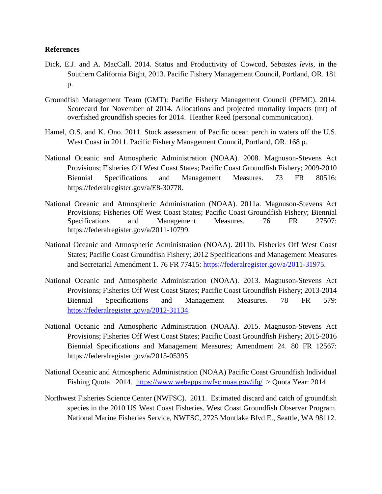#### **References**

- Dick, E.J. and A. MacCall. 2014. Status and Productivity of Cowcod, *Sebastes levis*, in the Southern California Bight, 2013. Pacific Fishery Management Council, Portland, OR. 181 p.
- Groundfish Management Team (GMT): Pacific Fishery Management Council (PFMC). 2014. Scorecard for November of 2014. Allocations and projected mortality impacts (mt) of overfished groundfish species for 2014. Heather Reed (personal communication).
- Hamel, O.S. and K. Ono. 2011. Stock assessment of Pacific ocean perch in waters off the U.S. West Coast in 2011. Pacific Fishery Management Council, Portland, OR. 168 p.
- National Oceanic and Atmospheric Administration (NOAA). 2008. Magnuson-Stevens Act Provisions; Fisheries Off West Coast States; Pacific Coast Groundfish Fishery; 2009-2010 Biennial Specifications and Management Measures. 73 FR 80516: https://federalregister.gov/a/E8-30778.
- National Oceanic and Atmospheric Administration (NOAA). 2011a. Magnuson-Stevens Act Provisions; Fisheries Off West Coast States; Pacific Coast Groundfish Fishery; Biennial Specifications and Management Measures. 76 FR 27507: https://federalregister.gov/a/2011-10799.
- National Oceanic and Atmospheric Administration (NOAA). 2011b. Fisheries Off West Coast States; Pacific Coast Groundfish Fishery; 2012 Specifications and Management Measures and Secretarial Amendment 1. 76 FR 77415: [https://federalregister.gov/a/2011-31975.](https://federalregister.gov/a/2011-31975)
- National Oceanic and Atmospheric Administration (NOAA). 2013. Magnuson-Stevens Act Provisions; Fisheries Off West Coast States; Pacific Coast Groundfish Fishery; 2013-2014 Biennial Specifications and Management Measures. 78 FR 579: [https://federalregister.gov/a/2012-31134.](https://federalregister.gov/a/2012-31134)
- National Oceanic and Atmospheric Administration (NOAA). 2015. Magnuson-Stevens Act Provisions; Fisheries Off West Coast States; Pacific Coast Groundfish Fishery; 2015-2016 Biennial Specifications and Management Measures; Amendment 24. 80 FR 12567: https://federalregister.gov/a/2015-05395.
- National Oceanic and Atmospheric Administration (NOAA) Pacific Coast Groundfish Individual Fishing Quota. 2014. <https://www.webapps.nwfsc.noaa.gov/ifq/>> Quota Year: 2014
- Northwest Fisheries Science Center (NWFSC). 2011. Estimated discard and catch of groundfish species in the 2010 US West Coast Fisheries. West Coast Groundfish Observer Program. National Marine Fisheries Service, NWFSC, 2725 Montlake Blvd E., Seattle, WA 98112.